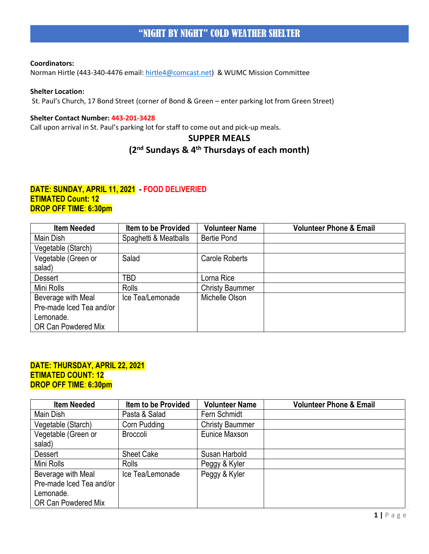Norman Hirtle (443-340-4476 email: [hirtle4@comcast.net\)](mailto:hirtle4@comcast.net) & WUMC Mission Committee

## **Shelter Location:**

St. Paul's Church, 17 Bond Street (corner of Bond & Green – enter parking lot from Green Street)

#### **Shelter Contact Number: 443-201-3428**

Call upon arrival in St. Paul's parking lot for staff to come out and pick-up meals.

# **SUPPER MEALS**

# **(2nd Sundays & 4th Thursdays of each month)**

## **DATE: SUNDAY, APRIL 11, 2021 - FOOD DELIVERIED ETIMATED Count: 12 DROP OFF TIME**: **6:30pm**

| <b>Item Needed</b>       | <b>Item to be Provided</b> | <b>Volunteer Name</b>  | <b>Volunteer Phone &amp; Email</b> |
|--------------------------|----------------------------|------------------------|------------------------------------|
| Main Dish                | Spaghetti & Meatballs      | Bertie Pond            |                                    |
| Vegetable (Starch)       |                            |                        |                                    |
| Vegetable (Green or      | Salad                      | Carole Roberts         |                                    |
| salad)                   |                            |                        |                                    |
| <b>Dessert</b>           | TBD                        | Lorna Rice             |                                    |
| Mini Rolls               | <b>Rolls</b>               | <b>Christy Baummer</b> |                                    |
| Beverage with Meal       | Ice Tea/Lemonade           | Michelle Olson         |                                    |
| Pre-made Iced Tea and/or |                            |                        |                                    |
| Lemonade.                |                            |                        |                                    |
| OR Can Powdered Mix      |                            |                        |                                    |

## **DATE: THURSDAY, APRIL 22, 2021 ETIMATED COUNT: 12 DROP OFF TIME**: **6:30pm**

| <b>Item Needed</b>       | <b>Item to be Provided</b> | <b>Volunteer Name</b>  | <b>Volunteer Phone &amp; Email</b> |
|--------------------------|----------------------------|------------------------|------------------------------------|
| Main Dish                | Pasta & Salad              | Fern Schmidt           |                                    |
| Vegetable (Starch)       | Corn Pudding               | <b>Christy Baummer</b> |                                    |
| Vegetable (Green or      | <b>Broccoli</b>            | Eunice Maxson          |                                    |
| salad)                   |                            |                        |                                    |
| <b>Dessert</b>           | <b>Sheet Cake</b>          | Susan Harbold          |                                    |
| Mini Rolls               | <b>Rolls</b>               | Peggy & Kyler          |                                    |
| Beverage with Meal       | Ice Tea/Lemonade           | Peggy & Kyler          |                                    |
| Pre-made Iced Tea and/or |                            |                        |                                    |
| Lemonade.                |                            |                        |                                    |
| OR Can Powdered Mix      |                            |                        |                                    |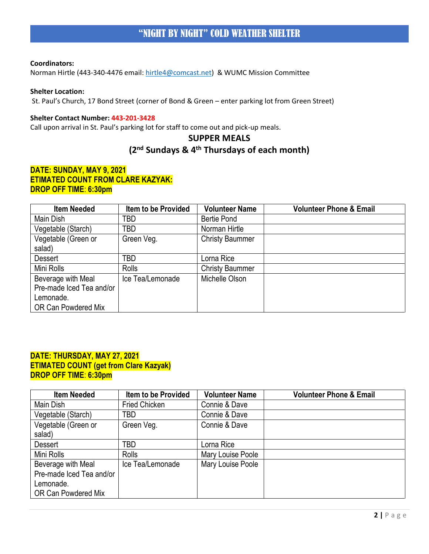Norman Hirtle (443-340-4476 email: [hirtle4@comcast.net\)](mailto:hirtle4@comcast.net) & WUMC Mission Committee

## **Shelter Location:**

St. Paul's Church, 17 Bond Street (corner of Bond & Green – enter parking lot from Green Street)

#### **Shelter Contact Number: 443-201-3428**

Call upon arrival in St. Paul's parking lot for staff to come out and pick-up meals.

# **SUPPER MEALS (2nd Sundays & 4th Thursdays of each month)**

## **DATE: SUNDAY, MAY 9, 2021 ETIMATED COUNT FROM CLARE KAZYAK: DROP OFF TIME**: **6:30pm**

| <b>Item Needed</b>       | <b>Item to be Provided</b> | <b>Volunteer Name</b>  | <b>Volunteer Phone &amp; Email</b> |
|--------------------------|----------------------------|------------------------|------------------------------------|
| Main Dish                | TBD                        | <b>Bertie Pond</b>     |                                    |
| Vegetable (Starch)       | TBD                        | Norman Hirtle          |                                    |
| Vegetable (Green or      | Green Veg.                 | <b>Christy Baummer</b> |                                    |
| salad)                   |                            |                        |                                    |
| <b>Dessert</b>           | TBD                        | Lorna Rice             |                                    |
| Mini Rolls               | <b>Rolls</b>               | <b>Christy Baummer</b> |                                    |
| Beverage with Meal       | Ice Tea/Lemonade           | Michelle Olson         |                                    |
| Pre-made Iced Tea and/or |                            |                        |                                    |
| Lemonade.                |                            |                        |                                    |
| OR Can Powdered Mix      |                            |                        |                                    |

## **DATE: THURSDAY, MAY 27, 2021 ETIMATED COUNT (get from Clare Kazyak) DROP OFF TIME**: **6:30pm**

| <b>Item Needed</b>       | <b>Item to be Provided</b> | <b>Volunteer Name</b> | <b>Volunteer Phone &amp; Email</b> |
|--------------------------|----------------------------|-----------------------|------------------------------------|
| Main Dish                | <b>Fried Chicken</b>       | Connie & Dave         |                                    |
| Vegetable (Starch)       | TBD                        | Connie & Dave         |                                    |
| Vegetable (Green or      | Green Veg.                 | Connie & Dave         |                                    |
| salad)                   |                            |                       |                                    |
| <b>Dessert</b>           | TBD                        | Lorna Rice            |                                    |
| Mini Rolls               | <b>Rolls</b>               | Mary Louise Poole     |                                    |
| Beverage with Meal       | Ice Tea/Lemonade           | Mary Louise Poole     |                                    |
| Pre-made Iced Tea and/or |                            |                       |                                    |
| Lemonade.                |                            |                       |                                    |
| OR Can Powdered Mix      |                            |                       |                                    |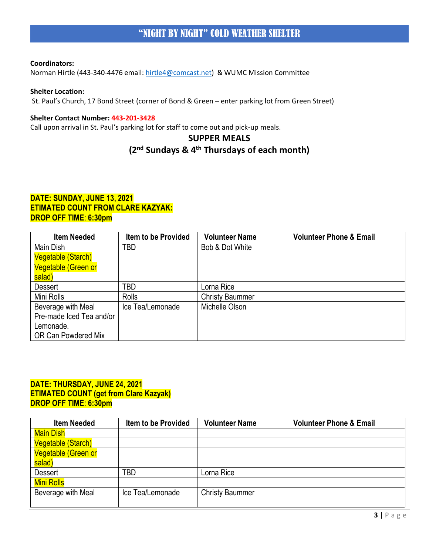Norman Hirtle (443-340-4476 email: [hirtle4@comcast.net\)](mailto:hirtle4@comcast.net) & WUMC Mission Committee

## **Shelter Location:**

St. Paul's Church, 17 Bond Street (corner of Bond & Green – enter parking lot from Green Street)

#### **Shelter Contact Number: 443-201-3428**

Call upon arrival in St. Paul's parking lot for staff to come out and pick-up meals.

# **SUPPER MEALS**

# **(2nd Sundays & 4th Thursdays of each month)**

## **DATE: SUNDAY, JUNE 13, 2021 ETIMATED COUNT FROM CLARE KAZYAK: DROP OFF TIME**: **6:30pm**

| <b>Item Needed</b>         | <b>Item to be Provided</b> | <b>Volunteer Name</b>  | <b>Volunteer Phone &amp; Email</b> |
|----------------------------|----------------------------|------------------------|------------------------------------|
| Main Dish                  | TBD                        | Bob & Dot White        |                                    |
| <b>Vegetable (Starch)</b>  |                            |                        |                                    |
| <b>Vegetable (Green or</b> |                            |                        |                                    |
| salad)                     |                            |                        |                                    |
| <b>Dessert</b>             | TBD                        | orna Rice              |                                    |
| Mini Rolls                 | Rolls                      | <b>Christy Baummer</b> |                                    |
| Beverage with Meal         | Ice Tea/Lemonade           | Michelle Olson         |                                    |
| Pre-made Iced Tea and/or   |                            |                        |                                    |
| Lemonade.                  |                            |                        |                                    |
| OR Can Powdered Mix        |                            |                        |                                    |

## **DATE: THURSDAY, JUNE 24, 2021 ETIMATED COUNT (get from Clare Kazyak) DROP OFF TIME**: **6:30pm**

| Item to be Provided | <b>Volunteer Name</b>  | <b>Volunteer Phone &amp; Email</b> |
|---------------------|------------------------|------------------------------------|
|                     |                        |                                    |
|                     |                        |                                    |
|                     |                        |                                    |
|                     |                        |                                    |
| TBD                 | Lorna Rice             |                                    |
|                     |                        |                                    |
| Ice Tea/Lemonade    | <b>Christy Baummer</b> |                                    |
|                     |                        |                                    |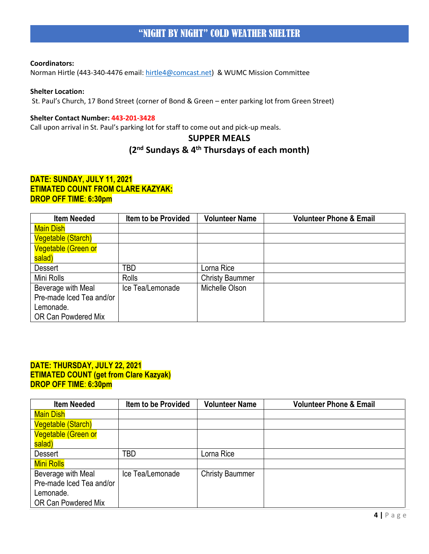Norman Hirtle (443-340-4476 email: [hirtle4@comcast.net\)](mailto:hirtle4@comcast.net) & WUMC Mission Committee

## **Shelter Location:**

St. Paul's Church, 17 Bond Street (corner of Bond & Green – enter parking lot from Green Street)

#### **Shelter Contact Number: 443-201-3428**

Call upon arrival in St. Paul's parking lot for staff to come out and pick-up meals.

# **SUPPER MEALS**

# **(2nd Sundays & 4th Thursdays of each month)**

## **DATE: SUNDAY, JULY 11, 2021 ETIMATED COUNT FROM CLARE KAZYAK: DROP OFF TIME**: **6:30pm**

| <b>Item Needed</b>         | <b>Item to be Provided</b> | <b>Volunteer Name</b>  | <b>Volunteer Phone &amp; Email</b> |
|----------------------------|----------------------------|------------------------|------------------------------------|
| <b>Main Dish</b>           |                            |                        |                                    |
| Vegetable (Starch)         |                            |                        |                                    |
| <b>Vegetable (Green or</b> |                            |                        |                                    |
| salad)                     |                            |                        |                                    |
| <b>Dessert</b>             | TBD                        | Lorna Rice             |                                    |
| Mini Rolls                 | Rolls                      | <b>Christy Baummer</b> |                                    |
| Beverage with Meal         | Ice Tea/Lemonade           | Michelle Olson         |                                    |
| Pre-made Iced Tea and/or   |                            |                        |                                    |
| Lemonade.                  |                            |                        |                                    |
| OR Can Powdered Mix        |                            |                        |                                    |

## **DATE: THURSDAY, JULY 22, 2021 ETIMATED COUNT (get from Clare Kazyak) DROP OFF TIME**: **6:30pm**

| <b>Item Needed</b>         | <b>Item to be Provided</b> | <b>Volunteer Name</b>  | <b>Volunteer Phone &amp; Email</b> |
|----------------------------|----------------------------|------------------------|------------------------------------|
| <b>Main Dish</b>           |                            |                        |                                    |
| Vegetable (Starch)         |                            |                        |                                    |
| <b>Vegetable (Green or</b> |                            |                        |                                    |
| salad)                     |                            |                        |                                    |
| <b>Dessert</b>             | <b>TBD</b>                 | Lorna Rice             |                                    |
| Mini Rolls                 |                            |                        |                                    |
| Beverage with Meal         | Ice Tea/Lemonade           | <b>Christy Baummer</b> |                                    |
| Pre-made Iced Tea and/or   |                            |                        |                                    |
| Lemonade.                  |                            |                        |                                    |
| OR Can Powdered Mix        |                            |                        |                                    |